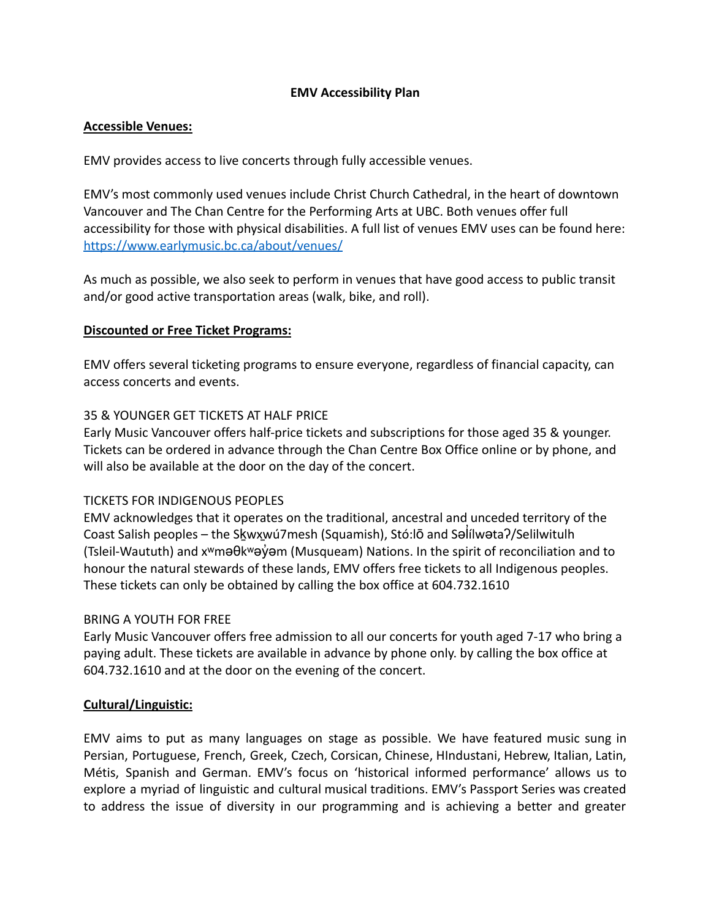### **EMV Accessibility Plan**

### **Accessible Venues:**

EMV provides access to live concerts through fully accessible venues.

EMV's most commonly used venues include Christ Church Cathedral, in the heart of downtown Vancouver and The Chan Centre for the Performing Arts at UBC. Both venues offer full accessibility for those with physical disabilities. A full list of venues EMV uses can be found here: <https://www.earlymusic.bc.ca/about/venues/>

As much as possible, we also seek to perform in venues that have good access to public transit and/or good active transportation areas (walk, bike, and roll).

#### **Discounted or Free Ticket Programs:**

EMV offers several ticketing programs to ensure everyone, regardless of financial capacity, can access concerts and events.

### 35 & YOUNGER GET TICKETS AT HALF PRICE

Early Music Vancouver offers half-price tickets and subscriptions for those aged 35 & younger. Tickets can be ordered in advance through the Chan Centre Box Office online or by phone, and will also be available at the door on the day of the concert.

# TICKETS FOR INDIGENOUS PEOPLES

EMV acknowledges that it operates on the traditional, ancestral and unceded territory of the Coast Salish peoples – the Sḵwx̱wú7mesh (Squamish), Stó:lō and Səl̓ ílwətaʔ/Selilwitulh (Tsleil-Waututh) and x<sup>w</sup>məθk<sup>w</sup>əγ̓ əm (Musqueam) Nations. In the spirit of reconciliation and to honour the natural stewards of these lands, EMV offers free tickets to all Indigenous peoples. These tickets can only be obtained by calling the box office at 604.732.1610

# BRING A YOUTH FOR FREE

Early Music Vancouver offers free admission to all our concerts for youth aged 7-17 who bring a paying adult. These tickets are available in advance by phone only. by calling the box office at 604.732.1610 and at the door on the evening of the concert.

# **Cultural/Linguistic:**

EMV aims to put as many languages on stage as possible. We have featured music sung in Persian, Portuguese, French, Greek, Czech, Corsican, Chinese, HIndustani, Hebrew, Italian, Latin, Métis, Spanish and German. EMV's focus on 'historical informed performance' allows us to explore a myriad of linguistic and cultural musical traditions. EMV's Passport Series was created to address the issue of diversity in our programming and is achieving a better and greater